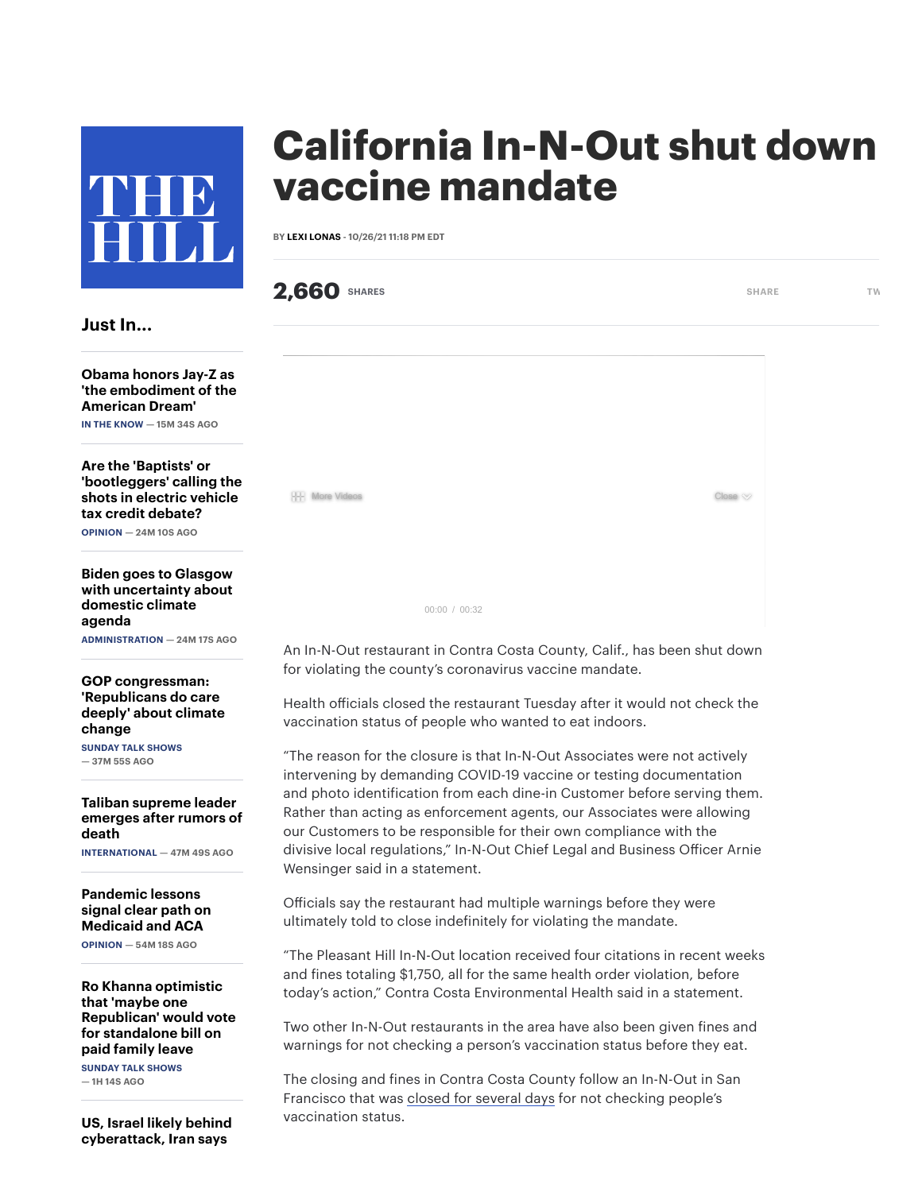

## Just In...

Obama honors Jay-Z as 'the [embodiment](https://thehill.com/blogs/in-the-know/in-the-know/579302-obama-honors-jay-z-as-the-embodiment-of-the-american-dream) of the American Dream' IN THE KNOW — 15M 34S AGO

Are the 'Baptists' or ['bootleggers'](https://thehill.com/opinion/international/579285-are-the-baptists-or-bootleggers-calling-the-shots-in-electric-vehicle) calling the shots in electric vehicle tax credit debate?

OPINION — 24M 10S AGO

Biden goes to Glasgow with [uncertainty](https://thehill.com/homenews/administration/579182-biden-goes-to-glasgow-with-uncertainty-about-domestic-climate-agenda) about domestic climate agenda ADMINISTRATION — 24M 17S AGO

GOP [congressman:](https://thehill.com/homenews/sunday-talk-shows/579301-gop-congressman-republicans-do-care-deeply-about-climate-change) 'Republicans do care deeply' about climate change SUNDAY TALK SHOWS

 $-37M$  55S AGO

Taliban [supreme](https://thehill.com/policy/international/579299-taliban-supreme-leader-emerges-after-rumors-of-death) leader emerges after rumors of death

INTERNATIONAL — 47M 49S AGO

[Pandemic](https://thehill.com/opinion/healthcare/579255-pandemic-lessons-signal-clear-path-on-medicaid-and-aca) lessons signal clear path on Medicaid and ACA OPINION — 54M 18S AGO

Ro Khanna optimistic that 'maybe one [Republican'](https://thehill.com/homenews/sunday-talk-shows/579298-ro-khanna-optimistic-that-maybe-one-republican-would-vote-for) would vote for standalone bill on paid family leave SUNDAY TALK SHOWS

 $-1H$  14S AGO

US, Israel likely behind [cyberattack,](https://thehill.com/policy/international/579297-us-israel-likely-behind-cyberattack-iran-says) Iran says

## California In-N-Out shut down vaccine mandate

BY LEXI [LONAS](https://thehill.com/author/lexi-lonas) - 10/26/21 11:18 PM EDT

**2,660** [SHARE](https://www.facebook.com/sharer/sharer.php?u=https://thehill.com/homenews/state-watch/578642-california-in-n-out-shut-down-over-vaccine-mandate)S [TW](http://www.twitter.com/share?url=https://thehill.com/homenews/state-watch/578642-california-in-n-out-shut-down-over-vaccine-mandate&text=California%20In-N-Out%20shut%20down%20over%20vaccine%20mandate)O SHARE TWO SHARE TWO SHARE 00:00 / 00:32  $\frac{1}{2}$  More Videos  $\infty$ 

An In-N-Out restaurant in Contra Costa County, Calif., has been shut down for violating the county's coronavirus vaccine mandate.

Health officials closed the restaurant Tuesday after it would not check the vaccination status of people who wanted to eat indoors.

"The reason for the closure is that In-N-Out Associates were not actively intervening by demanding COVID-19 vaccine or testing documentation and photo identification from each dine-in Customer before serving them. Rather than acting as enforcement agents, our Associates were allowing our Customers to be responsible for their own compliance with the divisive local regulations," In-N-Out Chief Legal and Business Officer Arnie Wensinger said in a statement.

Officials say the restaurant had multiple warnings before they were ultimately told to close indefinitely for violating the mandate.

"The Pleasant Hill In-N-Out location received four citations in recent weeks and fines totaling \$1,750, all for the same health order violation, before today's action," Contra Costa Environmental Health said in a statement.

Two other In-N-Out restaurants in the area have also been given fines and warnings for not checking a person's vaccination status before they eat.

The closing and fines in Contra Costa County follow an In-N-Out in San Francisco that was closed for [several](https://thehill.com/homenews/state-watch/577509-san-francisco-in-n-out-temporarily-shuts-down-for-violating-vaccine) days for not checking people's vaccination status.